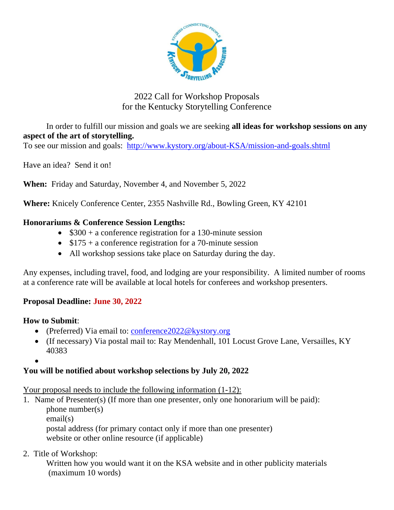

# 2022 Call for Workshop Proposals for the Kentucky Storytelling Conference

In order to fulfill our mission and goals we are seeking **all ideas for workshop sessions on any aspect of the art of storytelling.**

To see our mission and goals: <http://www.kystory.org/about-KSA/mission-and-goals.shtml>

Have an idea? Send it on!

**When:** Friday and Saturday, November 4, and November 5, 2022

**Where:** Knicely Conference Center, 2355 Nashville Rd., Bowling Green, KY 42101

### **Honorariums & Conference Session Lengths:**

- \$300 + a conference registration for a 130-minute session
- $$175 + a$  conference registration for a 70-minute session
- All workshop sessions take place on Saturday during the day.

Any expenses, including travel, food, and lodging are your responsibility. A limited number of rooms at a conference rate will be available at local hotels for conferees and workshop presenters.

## **Proposal Deadline: June 30, 2022**

#### **How to Submit**:

- (Preferred) Via email to: [conference2022@kystory.org](mailto:conference2022@kystory.org)
- (If necessary) Via postal mail to: Ray Mendenhall, 101 Locust Grove Lane, Versailles, KY 40383
- •

## **You will be notified about workshop selections by July 20, 2022**

Your proposal needs to include the following information  $(1-12)$ :

1. Name of Presenter(s) (If more than one presenter, only one honorarium will be paid): phone number(s) email(s) postal address (for primary contact only if more than one presenter) website or other online resource (if applicable)

2. Title of Workshop:

Written how you would want it on the KSA website and in other publicity materials (maximum 10 words)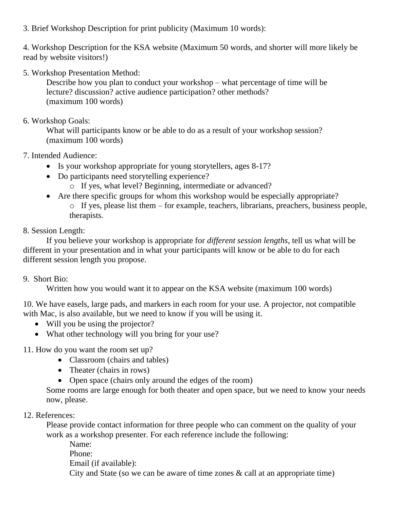3. Brief Workshop Description for print publicity (Maximum 10 words):

4. Workshop Description for the KSA website (Maximum 50 words, and shorter will more likely be read by website visitors!)

5. Workshop Presentation Method:

Describe how you plan to conduct your workshop – what percentage of time will be lecture? discussion? active audience participation? other methods? (maximum 100 words)

6. Workshop Goals:

What will participants know or be able to do as a result of your workshop session? (maximum 100 words)

7. Intended Audience:

- Is your workshop appropriate for young storytellers, ages 8-17?
- Do participants need storytelling experience?
	- o If yes, what level? Beginning, intermediate or advanced?
- Are there specific groups for whom this workshop would be especially appropriate?  $\circ$  If yes, please list them – for example, teachers, librarians, preachers, business people, therapists.

8. Session Length:

If you believe your workshop is appropriate for *different session lengths*, tell us what will be different in your presentation and in what your participants will know or be able to do for each different session length you propose.

## 9. Short Bio:

Written how you would want it to appear on the KSA website (maximum 100 words)

10. We have easels, large pads, and markers in each room for your use. A projector, not compatible with Mac, is also available, but we need to know if you will be using it.

- Will you be using the projector?
- What other technology will you bring for your use?

11. How do you want the room set up?

- Classroom (chairs and tables)
- Theater (chairs in rows)
- Open space (chairs only around the edges of the room)

Some rooms are large enough for both theater and open space, but we need to know your needs now, please.

#### 12. References:

Please provide contact information for three people who can comment on the quality of your work as a workshop presenter. For each reference include the following:

Name: Phone: Email (if available): City and State (so we can be aware of time zones & call at an appropriate time)